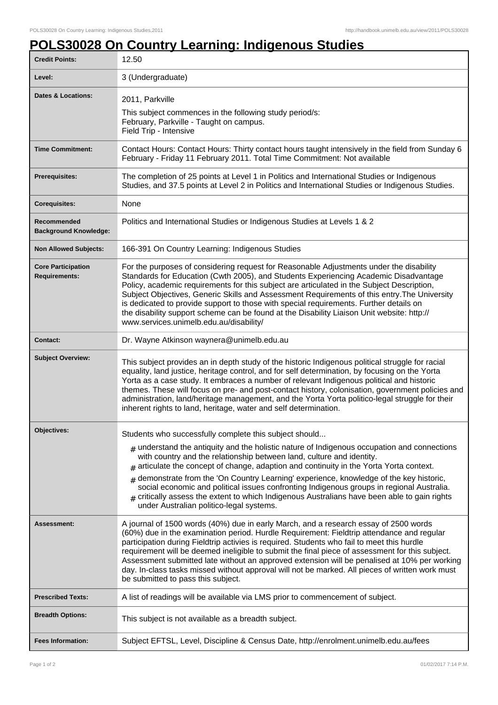## **POLS30028 On Country Learning: Indigenous Studies**

| <b>Credit Points:</b>                             | 12.50                                                                                                                                                                                                                                                                                                                                                                                                                                                                                                                                                                                                                       |
|---------------------------------------------------|-----------------------------------------------------------------------------------------------------------------------------------------------------------------------------------------------------------------------------------------------------------------------------------------------------------------------------------------------------------------------------------------------------------------------------------------------------------------------------------------------------------------------------------------------------------------------------------------------------------------------------|
| Level:                                            | 3 (Undergraduate)                                                                                                                                                                                                                                                                                                                                                                                                                                                                                                                                                                                                           |
| <b>Dates &amp; Locations:</b>                     | 2011, Parkville<br>This subject commences in the following study period/s:<br>February, Parkville - Taught on campus.<br>Field Trip - Intensive                                                                                                                                                                                                                                                                                                                                                                                                                                                                             |
| <b>Time Commitment:</b>                           | Contact Hours: Contact Hours: Thirty contact hours taught intensively in the field from Sunday 6<br>February - Friday 11 February 2011. Total Time Commitment: Not available                                                                                                                                                                                                                                                                                                                                                                                                                                                |
| Prerequisites:                                    | The completion of 25 points at Level 1 in Politics and International Studies or Indigenous<br>Studies, and 37.5 points at Level 2 in Politics and International Studies or Indigenous Studies.                                                                                                                                                                                                                                                                                                                                                                                                                              |
| <b>Corequisites:</b>                              | None                                                                                                                                                                                                                                                                                                                                                                                                                                                                                                                                                                                                                        |
| Recommended<br><b>Background Knowledge:</b>       | Politics and International Studies or Indigenous Studies at Levels 1 & 2                                                                                                                                                                                                                                                                                                                                                                                                                                                                                                                                                    |
| <b>Non Allowed Subjects:</b>                      | 166-391 On Country Learning: Indigenous Studies                                                                                                                                                                                                                                                                                                                                                                                                                                                                                                                                                                             |
| <b>Core Participation</b><br><b>Requirements:</b> | For the purposes of considering request for Reasonable Adjustments under the disability<br>Standards for Education (Cwth 2005), and Students Experiencing Academic Disadvantage<br>Policy, academic requirements for this subject are articulated in the Subject Description,<br>Subject Objectives, Generic Skills and Assessment Requirements of this entry. The University<br>is dedicated to provide support to those with special requirements. Further details on<br>the disability support scheme can be found at the Disability Liaison Unit website: http://<br>www.services.unimelb.edu.au/disability/            |
| <b>Contact:</b>                                   | Dr. Wayne Atkinson waynera@unimelb.edu.au                                                                                                                                                                                                                                                                                                                                                                                                                                                                                                                                                                                   |
| <b>Subject Overview:</b>                          | This subject provides an in depth study of the historic Indigenous political struggle for racial<br>equality, land justice, heritage control, and for self determination, by focusing on the Yorta<br>Yorta as a case study. It embraces a number of relevant Indigenous political and historic<br>themes. These will focus on pre- and post-contact history, colonisation, government policies and<br>administration, land/heritage management, and the Yorta Yorta politico-legal struggle for their<br>inherent rights to land, heritage, water and self determination.                                                  |
| Objectives:                                       | Students who successfully complete this subject should                                                                                                                                                                                                                                                                                                                                                                                                                                                                                                                                                                      |
|                                                   | $_{\text{\#}}$ understand the antiquity and the holistic nature of Indigenous occupation and connections<br>with country and the relationship between land, culture and identity.<br>articulate the concept of change, adaption and continuity in the Yorta Yorta context.<br>demonstrate from the 'On Country Learning' experience, knowledge of the key historic,<br>$\pm$<br>social economic and political issues confronting Indigenous groups in regional Australia.<br>$_{\#}$ critically assess the extent to which Indigenous Australians have been able to gain rights<br>under Australian politico-legal systems. |
| Assessment:                                       | A journal of 1500 words (40%) due in early March, and a research essay of 2500 words<br>(60%) due in the examination period. Hurdle Requirement: Fieldtrip attendance and regular<br>participation during Fieldtrip activies is required. Students who fail to meet this hurdle<br>requirement will be deemed ineligible to submit the final piece of assessment for this subject.<br>Assessment submitted late without an approved extension will be penalised at 10% per working<br>day. In-class tasks missed without approval will not be marked. All pieces of written work must<br>be submitted to pass this subject. |
| <b>Prescribed Texts:</b>                          | A list of readings will be available via LMS prior to commencement of subject.                                                                                                                                                                                                                                                                                                                                                                                                                                                                                                                                              |
| <b>Breadth Options:</b>                           | This subject is not available as a breadth subject.                                                                                                                                                                                                                                                                                                                                                                                                                                                                                                                                                                         |
| <b>Fees Information:</b>                          | Subject EFTSL, Level, Discipline & Census Date, http://enrolment.unimelb.edu.au/fees                                                                                                                                                                                                                                                                                                                                                                                                                                                                                                                                        |